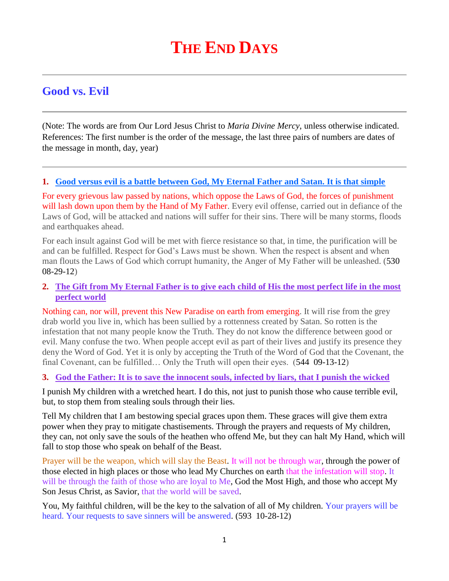# **THE END DAYS**

# **Good vs. Evil**

(Note: The words are from Our Lord Jesus Christ to *Maria Divine Mercy*, unless otherwise indicated. References: The first number is the order of the message, the last three pairs of numbers are dates of the message in month, day, year)

#### **1. [Good versus evil is a battle between God, My Eternal Father and Satan. It is that simple](http://www.thewarningsecondcoming.com/good-versus-evil-is-a-battle-between-god-my-eternal-father-and-satan-it-is-that-simple/)**

For every grievous law passed by nations, which oppose the Laws of God, the forces of punishment will lash down upon them by the Hand of My Father. Every evil offense, carried out in defiance of the Laws of God, will be attacked and nations will suffer for their sins. There will be many storms, floods and earthquakes ahead.

For each insult against God will be met with fierce resistance so that, in time, the purification will be and can be fulfilled. Respect for God's Laws must be shown. When the respect is absent and when man flouts the Laws of God which corrupt humanity, the Anger of My Father will be unleashed. (530 08-29-12)

# **2. [The Gift from My Eternal Father is to give each child of His the most perfect life in the most](http://www.thewarningsecondcoming.com/the-gift-from-my-eternal-father-is-to-give-each-child-of-his-the-most-perfect-life-in-the-most-perfect-world/)  [perfect world](http://www.thewarningsecondcoming.com/the-gift-from-my-eternal-father-is-to-give-each-child-of-his-the-most-perfect-life-in-the-most-perfect-world/)**

Nothing can, nor will, prevent this New Paradise on earth from emerging. It will rise from the grey drab world you live in, which has been sullied by a rottenness created by Satan. So rotten is the infestation that not many people know the Truth. They do not know the difference between good or evil. Many confuse the two. When people accept evil as part of their lives and justify its presence they deny the Word of God. Yet it is only by accepting the Truth of the Word of God that the Covenant, the final Covenant, can be fulfilled… Only the Truth will open their eyes. (544 09-13-12)

#### **3. God the Father: It is to [save the innocent souls, infected by liars, that I punish the wicked](http://www.thewarningsecondcoming.com/god-the-father-it-is-to-save-the-innocent-souls-infected-by-liars-that-i-punish-the-wicked/)**

I punish My children with a wretched heart. I do this, not just to punish those who cause terrible evil, but, to stop them from stealing souls through their lies.

Tell My children that I am bestowing special graces upon them. These graces will give them extra power when they pray to mitigate chastisements. Through the prayers and requests of My children, they can, not only save the souls of the heathen who offend Me, but they can halt My Hand, which will fall to stop those who speak on behalf of the Beast.

Prayer will be the weapon, which will slay the Beast. It will not be through war, through the power of those elected in high places or those who lead My Churches on earth that the infestation will stop. It will be through the faith of those who are loyal to Me, God the Most High, and those who accept My Son Jesus Christ, as Savior, that the world will be saved.

You, My faithful children, will be the key to the salvation of all of My children. Your prayers will be heard. Your requests to save sinners will be answered. (593 10-28-12)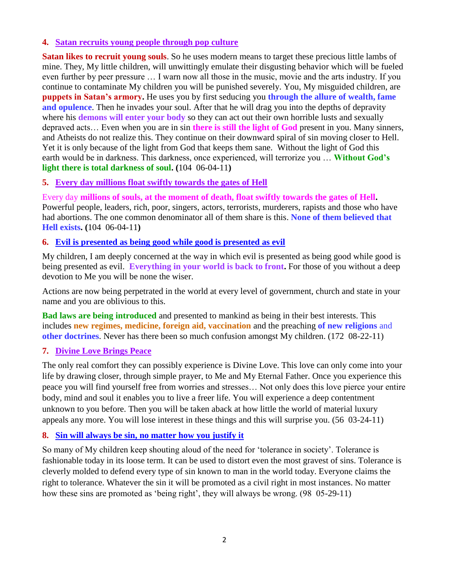# **4. [Satan recruits young people through pop culture](http://www.thewarningsecondcoming.com/satan-recruits-young-people-through-pop-culture/)**

**Satan likes to recruit young souls**. So he uses modern means to target these precious little lambs of mine. They, My little children, will unwittingly emulate their disgusting behavior which will be fueled even further by peer pressure … I warn now all those in the music, movie and the arts industry. If you continue to contaminate My children you will be punished severely. You, My misguided children, are **puppets in Satan's armory.** He uses you by first seducing you **through the allure of wealth, fame and opulence**. Then he invades your soul. After that he will drag you into the depths of depravity where his **demons will enter your body** so they can act out their own horrible lusts and sexually depraved acts… Even when you are in sin **there is still the light of God** present in you. Many sinners, and Atheists do not realize this. They continue on their downward spiral of sin moving closer to Hell. Yet it is only because of the light from God that keeps them sane. Without the light of God this earth would be in darkness. This darkness, once experienced, will terrorize you … **Without God's light there is total darkness of soul. (**104 06-04-11**)**

#### **5. Every day millions float swiftly towards the gates of Hell**

Every day **millions of souls, at the moment of death, float swiftly towards the gates of Hell.** Powerful people, leaders, rich, poor, singers, actors, terrorists, murderers, rapists and those who have had abortions. The one common denominator all of them share is this. **None of them believed that Hell exists. (**104 06-04-11**)**

#### **6. [Evil is presented as being good while good is presented as evil](http://www.thewarningsecondcoming.com/evil-is-presented-as-being-good-while-good-is-presented-as-evil/)**

My children, I am deeply concerned at the way in which evil is presented as being good while good is being presented as evil. **Everything in your world is back to front.** For those of you without a deep devotion to Me you will be none the wiser.

Actions are now being perpetrated in the world at every level of government, church and state in your name and you are oblivious to this.

**Bad laws are being introduced** and presented to mankind as being in their best interests. This includes **new regimes, medicine, foreign aid, vaccination** and the preaching **of new religions** and **other doctrines**. Never has there been so much confusion amongst My children. (172 08-22-11)

#### **7. Divine Love Brings Peace**

The only real comfort they can possibly experience is Divine Love. This love can only come into your life by drawing closer, through simple prayer, to Me and My Eternal Father. Once you experience this peace you will find yourself free from worries and stresses… Not only does this love pierce your entire body, mind and soul it enables you to live a freer life. You will experience a deep contentment unknown to you before. Then you will be taken aback at how little the world of material luxury appeals any more. You will lose interest in these things and this will surprise you. (56 03-24-11)

#### **8. [Sin will always be sin, no matter how you justify it](http://www.thewarningsecondcoming.com/sin-will-always-be-sin-no-matter-how-you-ju)**

So many of My children keep shouting aloud of the need for 'tolerance in society'. Tolerance is fashionable today in its loose term. It can be used to distort even the most gravest of sins. Tolerance is cleverly molded to defend every type of sin known to man in the world today. Everyone claims the right to tolerance. Whatever the sin it will be promoted as a civil right in most instances. No matter how these sins are promoted as 'being right', they will always be wrong. (98 05-29-11)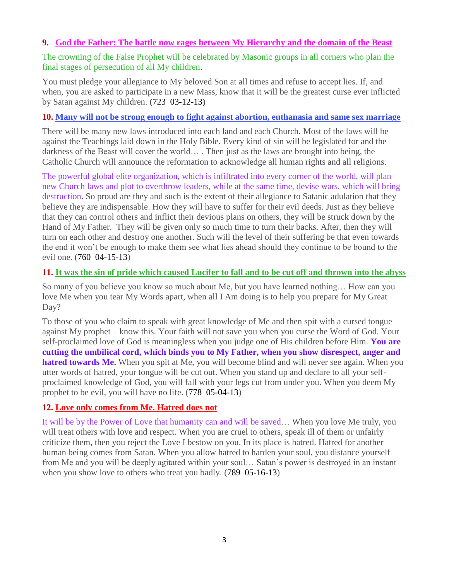## **9. God the Father: The battle [now rages between My Hierarchy and the domain of the Beast](http://www.thewarningsecondcoming.com/god-the-father-the-battle-now-rages-between-my-hierarchy-and-the-domain-of-the-beast/)**

The crowning of the False Prophet will be celebrated by Masonic groups in all corners who plan the final stages of persecution of all My children.

You must pledge your allegiance to My beloved Son at all times and refuse to accept lies. If, and when, you are asked to participate in a new Mass, know that it will be the greatest curse ever inflicted by Satan against My children. **(**723 03-12-13**)**

# **10. [Many will not be strong enough to fight against abortion, euthanasia and same sex marriage](http://www.thewarningsecondcoming.com/many-will-not-be-strong-enough-to-fight-against-abortion-euthanasia-and-same-sex-marriage/)**

There will be many new laws introduced into each land and each Church. Most of the laws will be against the Teachings laid down in the Holy Bible. Every kind of sin will be legislated for and the darkness of the Beast will cover the world… . Then just as the laws are brought into being, the Catholic Church will announce the reformation to acknowledge all human rights and all religions.

The powerful global elite organization, which is infiltrated into every corner of the world, will plan new Church laws and plot to overthrow leaders, while at the same time, devise wars, which will bring destruction. So proud are they and such is the extent of their allegiance to Satanic adulation that they believe they are indispensable. How they will have to suffer for their evil deeds. Just as they believe that they can control others and inflict their devious plans on others, they will be struck down by the Hand of My Father. They will be given only so much time to turn their backs. After, then they will turn on each other and destroy one another. Such will the level of their suffering be that even towards the end it won't be enough to make them see what lies ahead should they continue to be bound to the evil one. (760 04-15-13)

# **11. [It was the sin of pride which caused Lucifer to fall and to be cut off and thrown into the abyss](http://www.thewarningsecondcoming.com/it-was-the-sin-of-pride-which-caused-lucifer-to-fall-and-to-be-cut-off-and-thrown-into-the-abyss/)**

So many of you believe you know so much about Me, but you have learned nothing… How can you love Me when you tear My Words apart, when all I Am doing is to help you prepare for My Great Day?

To those of you who claim to speak with great knowledge of Me and then spit with a cursed tongue against My prophet – know this. Your faith will not save you when you curse the Word of God. Your self-proclaimed love of God is meaningless when you judge one of His children before Him. **You are cutting the umbilical cord, which binds you to My Father, when you show disrespect, anger and hatred towards Me.** When you spit at Me, you will become blind and will never see again. When you utter words of hatred, your tongue will be cut out. When you stand up and declare to all your selfproclaimed knowledge of God, you will fall with your legs cut from under you. When you deem My prophet to be evil, you will have no life. (778 05-04-13)

# **12. [Love only comes from Me. Hatred does not](http://www.thewarningsecondcoming.com/love-only-comes-from-me-hatred-does-not/)**

It will be by the Power of Love that humanity can and will be saved… When you love Me truly, you will treat others with love and respect. When you are cruel to others, speak ill of them or unfairly criticize them, then you reject the Love I bestow on you. In its place is hatred. Hatred for another human being comes from Satan. When you allow hatred to harden your soul, you distance yourself from Me and you will be deeply agitated within your soul… Satan's power is destroyed in an instant when you show love to others who treat you badly. (789 05-16-13)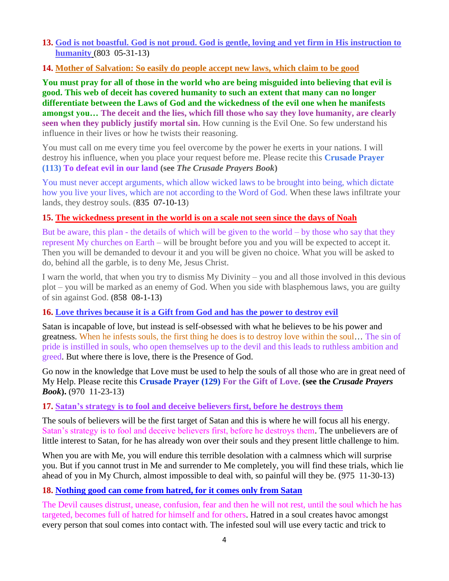#### **13. [God is not boastful. God is not proud. God is gentle, loving and yet firm in His instruction to](http://www.thewarningsecondcoming.com/god-is-not-boastful-god-is-not-proud-god-is-gentle-loving-and-yet-firm-in-his-instruction-to-humanity/)  [humanity](http://www.thewarningsecondcoming.com/god-is-not-boastful-god-is-not-proud-god-is-gentle-loving-and-yet-firm-in-his-instruction-to-humanity/)** (803 05-31-13)

#### **14. [Mother of Salvation: So easily do people accept new laws, which claim to be good](http://www.thewarningsecondcoming.com/mother-of-salvation-so-easily-do-people-accept-new-laws-which-claim-to-be-good/)**

**You must pray for all of those in the world who are being misguided into believing that evil is good. This web of deceit has covered humanity to such an extent that many can no longer differentiate between the Laws of God and the wickedness of the evil one when he manifests amongst you… The deceit and the lies, which fill those who say they love humanity, are clearly seen when they publicly justify mortal sin.** How cunning is the Evil One. So few understand his influence in their lives or how he twists their reasoning.

You must call on me every time you feel overcome by the power he exerts in your nations. I will destroy his influence, when you place your request before me. Please recite this **Crusade Prayer (113) To defeat evil in our land (see** *The Crusade Prayers Book***)**

You must never accept arguments, which allow wicked laws to be brought into being, which dictate how you live your lives, which are not according to the Word of God. When these laws infiltrate your lands, they destroy souls. (835 07-10-13)

#### **15. [The wickedness present in the world is on a scale not seen since the days of Noah](http://www.thewarningsecondcoming.com/the-wickedness-present-in-the-world-is-on-a-scale-not-seen-since-the-days-of-noah/)**

But be aware, this plan - the details of which will be given to the world – by those who say that they represent My churches on Earth – will be brought before you and you will be expected to accept it. Then you will be demanded to devour it and you will be given no choice. What you will be asked to do, behind all the garble, is to deny Me, Jesus Christ.

I warn the world, that when you try to dismiss My Divinity – you and all those involved in this devious plot – you will be marked as an enemy of God. When you side with blasphemous laws, you are guilty of sin against God. **(**858 08-1-13**)**

#### **16. [Love thrives because it is a Gift from God and has the power to destroy evil](http://www.thewarningsecondcoming.com/love-thrives-because-it-is-a-gift-from-god-and-has-the-power-to-destroy-evil/)**

Satan is incapable of love, but instead is self-obsessed with what he believes to be his power and greatness. When he infests souls, the first thing he does is to destroy love within the soul… The sin of pride is instilled in souls, who open themselves up to the devil and this leads to ruthless ambition and greed. But where there is love, there is the Presence of God.

Go now in the knowledge that Love must be used to help the souls of all those who are in great need of My Help. Please recite this **Crusade Prayer (129) For the Gift of Love**. **(see the** *Crusade Prayers Book***).** (970 11-23-13)

#### **17. [Satan's strategy is to fool and deceive believers first, before he destroys them](http://www.thewarningsecondcoming.com/satans-strategy-is-to-fool-and-deceive-believers-first-before-he-destroys-them/)**

The souls of believers will be the first target of Satan and this is where he will focus all his energy. Satan's strategy is to fool and deceive believers first, before he destroys them. The unbelievers are of little interest to Satan, for he has already won over their souls and they present little challenge to him.

When you are with Me, you will endure this terrible desolation with a calmness which will surprise you. But if you cannot trust in Me and surrender to Me completely, you will find these trials, which lie ahead of you in My Church, almost impossible to deal with, so painful will they be. (975 11-30-13)

#### **18. [Nothing good can come from hatred, for it comes only from Satan](http://www.thewarningsecondcoming.com/nothing-good-can-come-from-hatred-for-it-comes-only-from-satan/)**

The Devil causes distrust, unease, confusion, fear and then he will not rest, until the soul which he has targeted, becomes full of hatred for himself and for others. Hatred in a soul creates havoc amongst every person that soul comes into contact with. The infested soul will use every tactic and trick to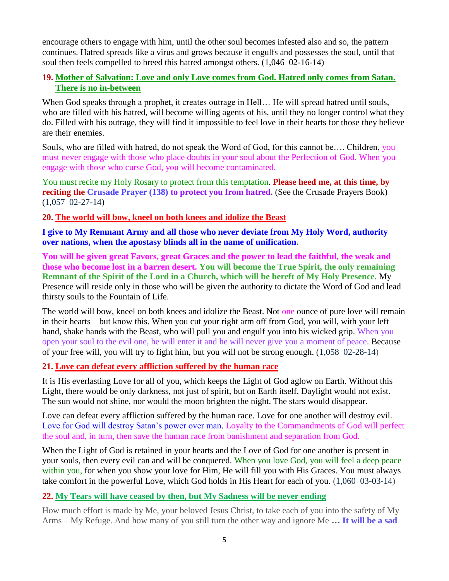encourage others to engage with him, until the other soul becomes infested also and so, the pattern continues. Hatred spreads like a virus and grows because it engulfs and possesses the soul, until that soul then feels compelled to breed this hatred amongst others. (1,046 02-16-14)

# **19. [Mother of Salvation: Love and only Love comes from God. Hatred only comes from Satan.](http://www.thewarningsecondcoming.com/mother-of-salvation-love-and-only-love-comes-from-god-hatred-only-comes-from-satan-there-is-no-in-between/)  [There is no in-between](http://www.thewarningsecondcoming.com/mother-of-salvation-love-and-only-love-comes-from-god-hatred-only-comes-from-satan-there-is-no-in-between/)**

When God speaks through a prophet, it creates outrage in Hell... He will spread hatred until souls, who are filled with his hatred, will become willing agents of his, until they no longer control what they do. Filled with his outrage, they will find it impossible to feel love in their hearts for those they believe are their enemies.

Souls, who are filled with hatred, do not speak the Word of God, for this cannot be…. Children, you must never engage with those who place doubts in your soul about the Perfection of God. When you engage with those who curse God, you will become contaminated.

You must recite my Holy Rosary to protect from this temptation. **Please heed me, at this time, by reciting the Crusade Prayer (138) to protect you from hatred. (See the Crusade Prayers Book)** (1,057 02-27-14)

#### **20. [The world will bow, kneel on both knees and idolize the Beast](http://www.thewarningsecondcoming.com/the-world-will-bow-kneel-on-both-knees-and-idolise-the-beast/)**

**I give to My Remnant Army and all those who never deviate from My Holy Word, authority over nations, when the apostasy blinds all in the name of unification.**

**You will be given great Favors, great Graces and the power to lead the faithful, the weak and those who become lost in a barren desert. You will become the True Spirit, the only remaining Remnant of the Spirit of the Lord in a Church, which will be bereft of My Holy Presence.** My Presence will reside only in those who will be given the authority to dictate the Word of God and lead thirsty souls to the Fountain of Life.

The world will bow, kneel on both knees and idolize the Beast. Not one ounce of pure love will remain in their hearts – but know this. When you cut your right arm off from God, you will, with your left hand, shake hands with the Beast, who will pull you and engulf you into his wicked grip. When you open your soul to the evil one, he will enter it and he will never give you a moment of peace. Because of your free will, you will try to fight him, but you will not be strong enough. (1,058 02-28-14)

#### **21. [Love can defeat every affliction suffered by the human race](http://www.thewarningsecondcoming.com/love-can-defeat-every-affliction-suffered-by-the-human-race/)**

It is His everlasting Love for all of you, which keeps the Light of God aglow on Earth. Without this Light, there would be only darkness, not just of spirit, but on Earth itself. Daylight would not exist. The sun would not shine, nor would the moon brighten the night. The stars would disappear.

Love can defeat every affliction suffered by the human race. Love for one another will destroy evil. Love for God will destroy Satan's power over man. Loyalty to the Commandments of God will perfect the soul and, in turn, then save the human race from banishment and separation from God.

When the Light of God is retained in your hearts and the Love of God for one another is present in your souls, then every evil can and will be conquered. When you love God, you will feel a deep peace within you, for when you show your love for Him, He will fill you with His Graces. You must always take comfort in the powerful Love, which God holds in His Heart for each of you. (1,060 03-03-14)

#### **22. [My Tears will have ceased by then, but My Sadness will be never ending](http://www.thewarningsecondcoming.com/my-tears-will-have-ceased-by-then-but-my-sadness-will-be-never-ending/)**

How much effort is made by Me, your beloved Jesus Christ, to take each of you into the safety of My Arms – My Refuge. And how many of you still turn the other way and ignore Me **… It will be a sad**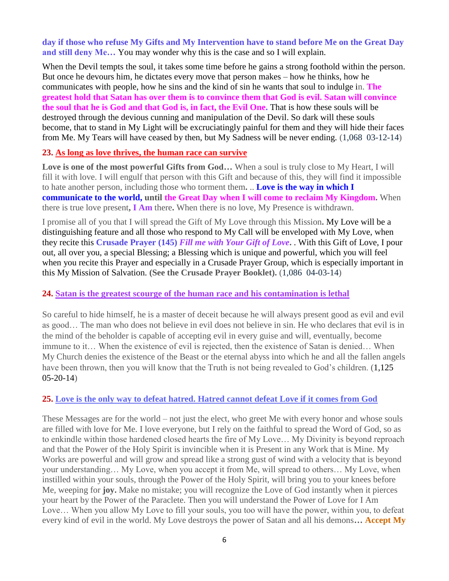**day if those who refuse My Gifts and My Intervention have to stand before Me on the Great Day and still deny Me…** You may wonder why this is the case and so I will explain.

When the Devil tempts the soul, it takes some time before he gains a strong foothold within the person. But once he devours him, he dictates every move that person makes – how he thinks, how he communicates with people, how he sins and the kind of sin he wants that soul to indulge in. **The greatest hold that Satan has over them is to convince them that God is evil. Satan will convince the soul that he is God and that God is, in fact, the Evil One.** That is how these souls will be destroyed through the devious cunning and manipulation of the Devil. So dark will these souls become, that to stand in My Light will be excruciatingly painful for them and they will hide their faces from Me. My Tears will have ceased by then, but My Sadness will be never ending. (1,068 03-12-14)

#### **23. [As long as love thrives, the human race can survive](http://www.thewarningsecondcoming.com/as-long-as-love-thrives-the-human-race-can-survive/)**

**Love is one of the most powerful Gifts from God…** When a soul is truly close to My Heart, I will fill it with love. I will engulf that person with this Gift and because of this, they will find it impossible to hate another person, including those who torment them**.** .. **Love is the way in which I communicate to the world, until the Great Day when I will come to reclaim My Kingdom.** When there is true love present**, I Am** there**.** When there is no love, My Presence is withdrawn.

I promise all of you that I will spread the Gift of My Love through this Mission**.** My Love will be a distinguishing feature and all those who respond to My Call will be enveloped with My Love, when they recite this **Crusade Prayer (145)** *Fill me with Your Gift of Love***.** . With this Gift of Love, I pour out, all over you, a special Blessing; a Blessing which is unique and powerful, which you will feel when you recite this Prayer and especially in a Crusade Prayer Group, which is especially important in this My Mission of Salvation. **(See the Crusade Prayer Booklet).** (1,086 04-03-14)

#### **24. [Satan is the greatest scourge of the human race and his contamination is lethal](http://www.thewarningsecondcoming.com/satan-is-the-greatest-scourge-of-the-human-race-and-his-contamination-is-lethal/)**

So careful to hide himself, he is a master of deceit because he will always present good as evil and evil as good… The man who does not believe in evil does not believe in sin. He who declares that evil is in the mind of the beholder is capable of accepting evil in every guise and will, eventually, become immune to it… When the existence of evil is rejected, then the existence of Satan is denied… When My Church denies the existence of the Beast or the eternal abyss into which he and all the fallen angels have been thrown, then you will know that the Truth is not being revealed to God's children. (1,125  $(05-20-14)$ 

#### **25. [Love is the only way to defeat hatred. Hatred cannot defeat Love if it comes from God](http://www.thewarningsecondcoming.com/love-is-the-only-way-to-defeat-hatred-hatred-cannot-defeat-love-if-it-comes-from-god/)**

These Messages are for the world – not just the elect, who greet Me with every honor and whose souls are filled with love for Me. I love everyone, but I rely on the faithful to spread the Word of God, so as to enkindle within those hardened closed hearts the fire of My Love… My Divinity is beyond reproach and that the Power of the Holy Spirit is invincible when it is Present in any Work that is Mine. My Works are powerful and will grow and spread like a strong gust of wind with a velocity that is beyond your understanding… My Love, when you accept it from Me, will spread to others… My Love, when instilled within your souls, through the Power of the Holy Spirit, will bring you to your knees before Me, weeping for **joy.** Make no mistake; you will recognize the Love of God instantly when it pierces your heart by the Power of the Paraclete. Then you will understand the Power of Love for I Am Love… When you allow My Love to fill your souls, you too will have the power, within you, to defeat every kind of evil in the world. My Love destroys the power of Satan and all his demons**… Accept My**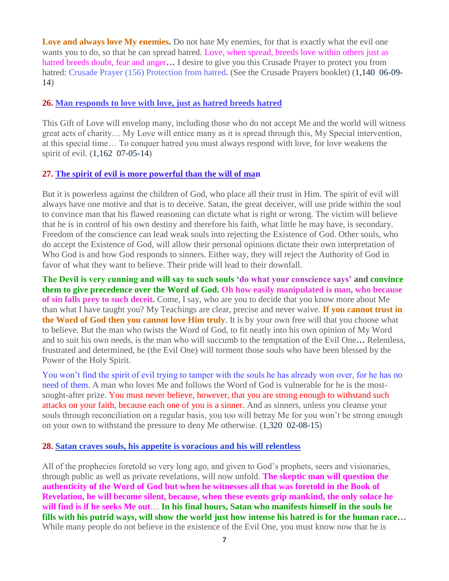Love and always love My enemies. Do not hate My enemies, for that is exactly what the evil one wants you to do, so that he can spread hatred. Love, when spread, breeds love within others just as hatred breeds doubt, fear and anger**…** I desire to give you this Crusade Prayer to protect you from hatred: Crusade Prayer (156) Protection from hatred**.** (See the Crusade Prayers booklet) (1,140 06-09- 14)

#### **26. [Man responds to love with love, just as hatred breeds hatred](http://www.thewarningsecondcoming.com/man-responds-to-love-with-love-just-as-hatred-breeds-hatred/)**

This Gift of Love will envelop many, including those who do not accept Me and the world will witness great acts of charity… My Love will entice many as it is spread through this, My Special intervention, at this special time… To conquer hatred you must always respond with love, for love weakens the spirit of evil. (1,162 07-05-14)

#### **27. [The spirit of evil is more powerful than the will of man](http://www.thewarningsecondcoming.com/the-spirit-of-evil-is-more-powerful-than-the-will-of-man/)**

But it is powerless against the children of God, who place all their trust in Him. The spirit of evil will always have one motive and that is to deceive. Satan, the great deceiver, will use pride within the soul to convince man that his flawed reasoning can dictate what is right or wrong. The victim will believe that he is in control of his own destiny and therefore his faith, what little he may have, is secondary. Freedom of the conscience can lead weak souls into rejecting the Existence of God. Other souls, who do accept the Existence of God, will allow their personal opinions dictate their own interpretation of Who God is and how God responds to sinners. Either way, they will reject the Authority of God in favor of what they want to believe. Their pride will lead to their downfall.

**The Devil is very cunning and will say to such souls 'do what your conscience says' and convince them to give precedence over the Word of God. Oh how easily manipulated is man, who because of sin falls prey to such deceit.** Come, I say, who are you to decide that you know more about Me than what I have taught you? My Teachings are clear, precise and never waive. **If you cannot trust in the Word of God then you cannot love Him truly**. It is by your own free will that you choose what to believe. But the man who twists the Word of God, to fit neatly into his own opinion of My Word and to suit his own needs, is the man who will succumb to the temptation of the Evil One**…** Relentless, frustrated and determined, he (the Evil One) will torment those souls who have been blessed by the Power of the Holy Spirit.

You won't find the spirit of evil trying to tamper with the souls he has already won over, for he has no need of them. A man who loves Me and follows the Word of God is vulnerable for he is the mostsought-after prize. You must never believe, however, that you are strong enough to withstand such attacks on your faith, because each one of you is a sinner. And as sinners, unless you cleanse your souls through reconciliation on a regular basis, you too will betray Me for you won't be strong enough on your own to withstand the pressure to deny Me otherwise. (1,320 02-08-15)

#### **28. [Satan craves souls, his appetite is voracious and his will relentless](http://www.thewarningsecondcoming.com/satan-craves-souls-his-appetite-is-voracious-and-his-will-relentless/)**

All of the prophecies foretold so very long ago, and given to God's prophets, seers and visionaries, through public as well as private revelations, will now unfold. **The skeptic man will question the authenticity of the Word of God but when he witnesses all that was foretold in the Book of Revelation, he will become silent, because, when these events grip mankind, the only solace he will find is if he seeks Me out**… **In his final hours, Satan who manifests himself in the souls he fills with his putrid ways, will show the world just how intense his hatred is for the human race…**  While many people do not believe in the existence of the Evil One, you must know now that he is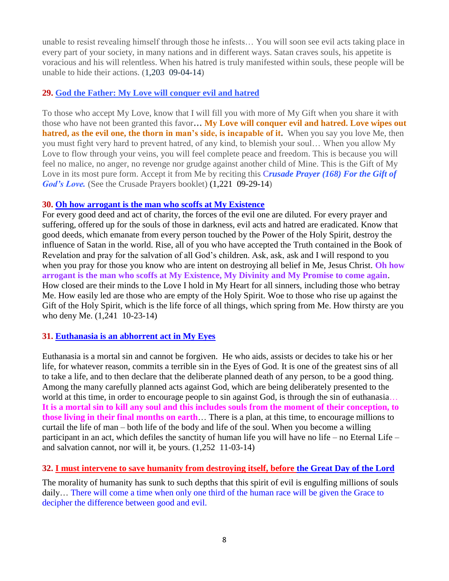unable to resist revealing himself through those he infests… You will soon see evil acts taking place in every part of your society, in many nations and in different ways. Satan craves souls, his appetite is voracious and his will relentless. When his hatred is truly manifested within souls, these people will be unable to hide their actions. (1,203 09-04-14)

# **29. [God the Father: My Love will conquer evil and hatred](http://www.thewarningsecondcoming.com/god-the-father-my-love-will-conquer-evil-and-hatred/)**

To those who accept My Love, know that I will fill you with more of My Gift when you share it with those who have not been granted this favor**… My Love will conquer evil and hatred. Love wipes out hatred, as the evil one, the thorn in man's side, is incapable of it.** When you say you love Me, then you must fight very hard to prevent hatred, of any kind, to blemish your soul… When you allow My Love to flow through your veins, you will feel complete peace and freedom. This is because you will feel no malice, no anger, no revenge nor grudge against another child of Mine. This is the Gift of My Love in its most pure form. Accept it from Me by reciting this C*rusade Prayer (168) For the Gift of God's Love.* (See the Crusade Prayers booklet) (1,221 09-29-14)

#### **30. Oh how arrogant is [the man who scoffs at My Existence](http://www.thewarningsecondcoming.com/oh-how-arrogant-is-the-man-who-scoffs-at-my-existence/)**

For every good deed and act of charity, the forces of the evil one are diluted. For every prayer and suffering, offered up for the souls of those in darkness, evil acts and hatred are eradicated. Know that good deeds, which emanate from every person touched by the Power of the Holy Spirit, destroy the influence of Satan in the world. Rise, all of you who have accepted the Truth contained in the Book of Revelation and pray for the salvation of all God's children. Ask, ask, ask and I will respond to you when you pray for those you know who are intent on destroying all belief in Me, Jesus Christ. **Oh how arrogant is the man who scoffs at My Existence, My Divinity and My Promise to come again**. How closed are their minds to the Love I hold in My Heart for all sinners, including those who betray Me. How easily led are those who are empty of the Holy Spirit. Woe to those who rise up against the Gift of the Holy Spirit, which is the life force of all things, which spring from Me. How thirsty are you who deny Me. (1,241 10-23-14)

#### **31. [Euthanasia is an abhorrent act in My Eyes](http://www.thewarningsecondcoming.com/euthanasia-is-an-abhorrent-act-in-my-eyes/)**

Euthanasia is a mortal sin and cannot be forgiven. He who aids, assists or decides to take his or her life, for whatever reason, commits a terrible sin in the Eyes of God. It is one of the greatest sins of all to take a life, and to then declare that the deliberate planned death of any person, to be a good thing. Among the many carefully planned acts against God, which are being deliberately presented to the world at this time, in order to encourage people to sin against God, is through the sin of euthanasia... **It is a mortal sin to kill any soul and this includes souls from the moment of their conception, to those living in their final months on earth**… There is a plan, at this time, to encourage millions to curtail the life of man – both life of the body and life of the soul. When you become a willing participant in an act, which defiles the sanctity of human life you will have no life – no Eternal Life – and salvation cannot, nor will it, be yours. (1,252 11-03-14)

#### **32. [I must intervene to save humanity from destroying itself, before the Great Day of the Lord](http://www.thewarningsecondcoming.com/i-must-intervene-to-save-humanity-from-destroying-itself-before-the-great-day-of-the-lord/)**

The morality of humanity has sunk to such depths that this spirit of evil is engulfing millions of souls daily… There will come a time when only one third of the human race will be given the Grace to decipher the difference between good and evil.